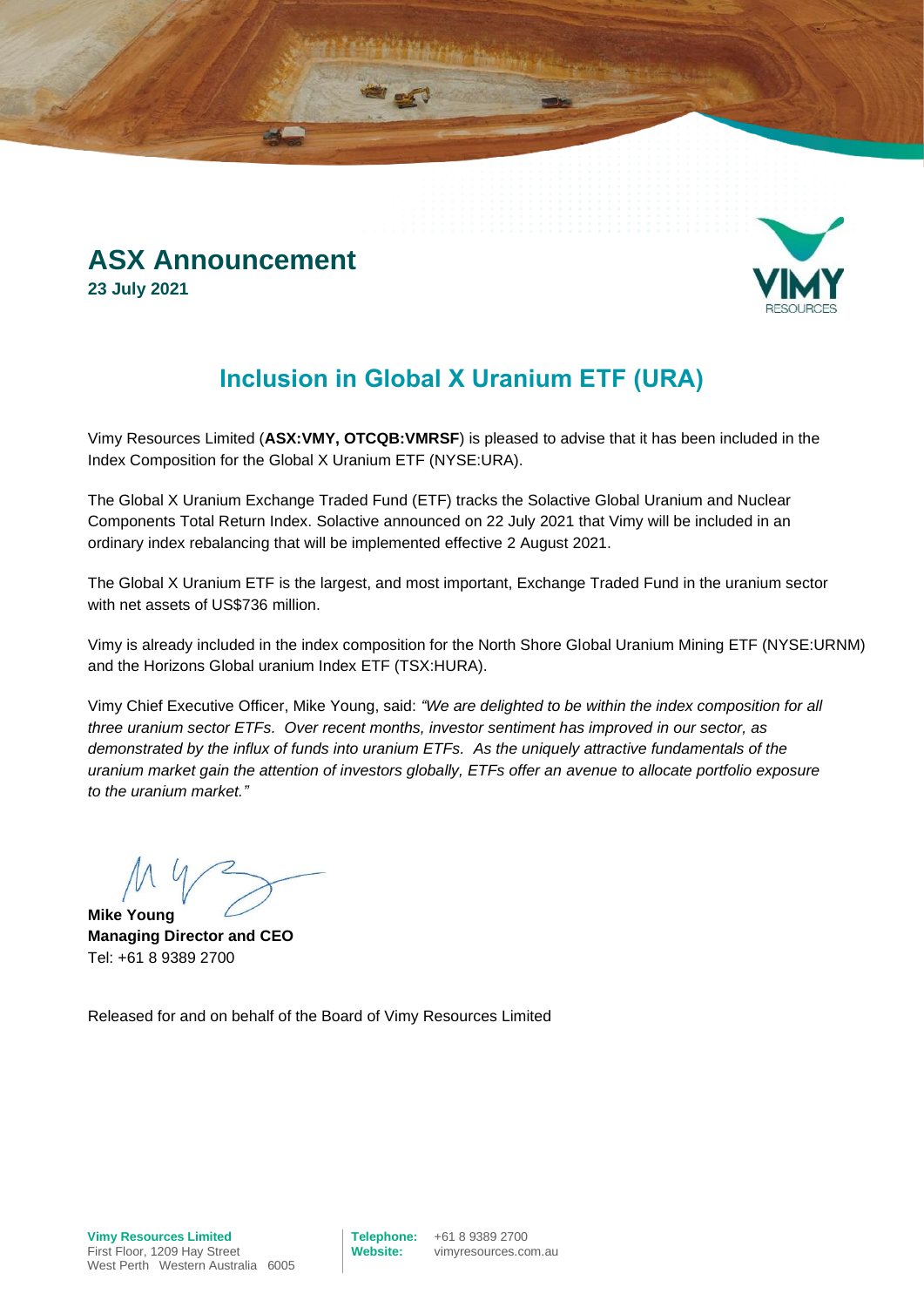### **ASX Announcement 23 July 2021**



## **Inclusion in Global X Uranium ETF (URA)**

Vimy Resources Limited (**ASX:VMY, OTCQB:VMRSF**) is pleased to advise that it has been included in the Index Composition for the Global X Uranium ETF (NYSE:URA).

The Global X Uranium Exchange Traded Fund (ETF) tracks the Solactive Global Uranium and Nuclear Components Total Return Index. Solactive announced on 22 July 2021 that Vimy will be included in an ordinary index rebalancing that will be implemented effective 2 August 2021.

The Global X Uranium ETF is the largest, and most important, Exchange Traded Fund in the uranium sector with net assets of US\$736 million.

Vimy is already included in the index composition for the North Shore Global Uranium Mining ETF (NYSE:URNM) and the Horizons Global uranium Index ETF (TSX:HURA).

Vimy Chief Executive Officer, Mike Young, said: *"We are delighted to be within the index composition for all three uranium sector ETFs. Over recent months, investor sentiment has improved in our sector, as demonstrated by the influx of funds into uranium ETFs. As the uniquely attractive fundamentals of the uranium market gain the attention of investors globally, ETFs offer an avenue to allocate portfolio exposure to the uranium market."*

**Mike Young**

**Managing Director and CEO** Tel: +61 8 9389 2700

Released for and on behalf of the Board of Vimy Resources Limited